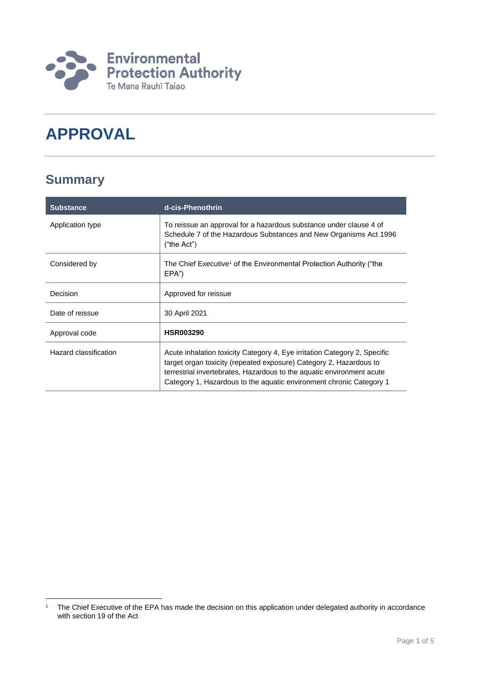

# **APPROVAL**

## **Summary**

| <b>Substance</b>      | d-cis-Phenothrin                                                                                                                                                                                                                                                                                |
|-----------------------|-------------------------------------------------------------------------------------------------------------------------------------------------------------------------------------------------------------------------------------------------------------------------------------------------|
| Application type      | To reissue an approval for a hazardous substance under clause 4 of<br>Schedule 7 of the Hazardous Substances and New Organisms Act 1996<br>("the Act")                                                                                                                                          |
| Considered by         | The Chief Executive <sup>1</sup> of the Environmental Protection Authority ("the<br>EPA")                                                                                                                                                                                                       |
| Decision              | Approved for reissue                                                                                                                                                                                                                                                                            |
| Date of reissue       | 30 April 2021                                                                                                                                                                                                                                                                                   |
| Approval code         | <b>HSR003290</b>                                                                                                                                                                                                                                                                                |
| Hazard classification | Acute inhalation toxicity Category 4, Eye irritation Category 2, Specific<br>target organ toxicity (repeated exposure) Category 2, Hazardous to<br>terrestrial invertebrates, Hazardous to the aquatic environment acute<br>Category 1, Hazardous to the aguatic environment chronic Category 1 |

<sup>1</sup> <sup>1</sup> The Chief Executive of the EPA has made the decision on this application under delegated authority in accordance with section 19 of the Act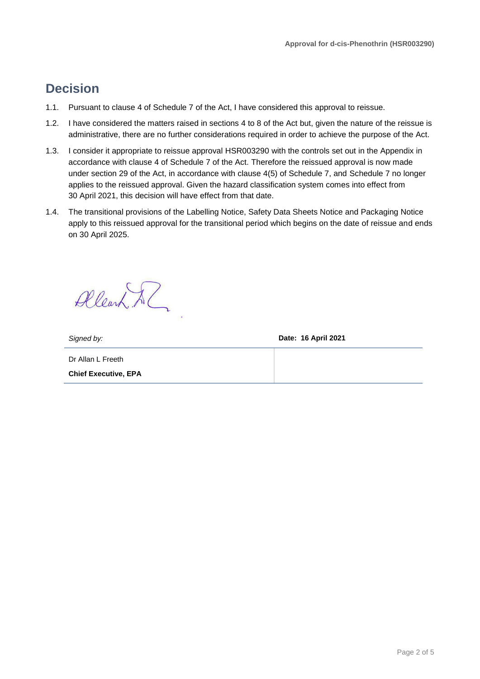### **Decision**

- 1.1. Pursuant to clause 4 of Schedule 7 of the Act, I have considered this approval to reissue.
- 1.2. I have considered the matters raised in sections 4 to 8 of the Act but, given the nature of the reissue is administrative, there are no further considerations required in order to achieve the purpose of the Act.
- 1.3. I consider it appropriate to reissue approval HSR003290 with the controls set out in the Appendix in accordance with clause 4 of Schedule 7 of the Act. Therefore the reissued approval is now made under section 29 of the Act, in accordance with clause 4(5) of Schedule 7, and Schedule 7 no longer applies to the reissued approval. Given the hazard classification system comes into effect from 30 April 2021, this decision will have effect from that date.
- 1.4. The transitional provisions of the Labelling Notice, Safety Data Sheets Notice and Packaging Notice apply to this reissued approval for the transitional period which begins on the date of reissue and ends on 30 April 2025.

Allearn Al

*Signed by:* **Date: 16 April 2021**

Dr Allan L Freeth **Chief Executive, EPA**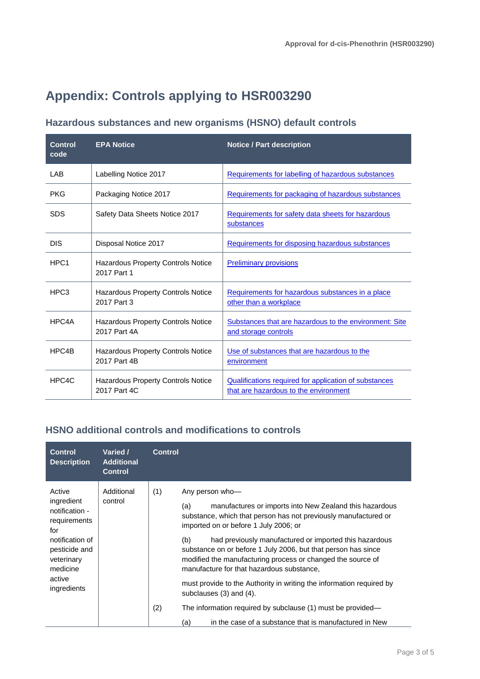## **Appendix: Controls applying to HSR003290**

### **Hazardous substances and new organisms (HSNO) default controls**

| <b>Control</b><br>code | <b>EPA Notice</b>                                         | <b>Notice / Part description</b>                                                               |
|------------------------|-----------------------------------------------------------|------------------------------------------------------------------------------------------------|
| LAB                    | Labelling Notice 2017                                     | Requirements for labelling of hazardous substances                                             |
| <b>PKG</b>             | Packaging Notice 2017                                     | Requirements for packaging of hazardous substances                                             |
| <b>SDS</b>             | Safety Data Sheets Notice 2017                            | Requirements for safety data sheets for hazardous<br>substances                                |
| <b>DIS</b>             | Disposal Notice 2017                                      | Requirements for disposing hazardous substances                                                |
| HPC <sub>1</sub>       | Hazardous Property Controls Notice<br>2017 Part 1         | <b>Preliminary provisions</b>                                                                  |
| HPC3                   | Hazardous Property Controls Notice<br>2017 Part 3         | Requirements for hazardous substances in a place<br>other than a workplace                     |
| HPC4A                  | <b>Hazardous Property Controls Notice</b><br>2017 Part 4A | Substances that are hazardous to the environment: Site<br>and storage controls                 |
| HPC4B                  | Hazardous Property Controls Notice<br>2017 Part 4B        | Use of substances that are hazardous to the<br>environment                                     |
| HPC4C                  | <b>Hazardous Property Controls Notice</b><br>2017 Part 4C | Qualifications required for application of substances<br>that are hazardous to the environment |

#### **HSNO additional controls and modifications to controls**

| <b>Control</b><br><b>Description</b>                                                                                                                 | Varied /<br><b>Additional</b><br><b>Control</b> | <b>Control</b> |                                                                                                                                                                                                                                                                                                                                                                                                                                                                                                                                                                                                                                                                                     |
|------------------------------------------------------------------------------------------------------------------------------------------------------|-------------------------------------------------|----------------|-------------------------------------------------------------------------------------------------------------------------------------------------------------------------------------------------------------------------------------------------------------------------------------------------------------------------------------------------------------------------------------------------------------------------------------------------------------------------------------------------------------------------------------------------------------------------------------------------------------------------------------------------------------------------------------|
| Active<br>ingredient<br>notification -<br>requirements<br>for<br>notification of<br>pesticide and<br>veterinary<br>medicine<br>active<br>ingredients | Additional<br>control                           | (1)<br>(2)     | Any person who-<br>manufactures or imports into New Zealand this hazardous<br>(a)<br>substance, which that person has not previously manufactured or<br>imported on or before 1 July 2006; or<br>had previously manufactured or imported this hazardous<br>(b)<br>substance on or before 1 July 2006, but that person has since<br>modified the manufacturing process or changed the source of<br>manufacture for that hazardous substance,<br>must provide to the Authority in writing the information required by<br>subclauses $(3)$ and $(4)$ .<br>The information required by subclause (1) must be provided—<br>in the case of a substance that is manufactured in New<br>(a) |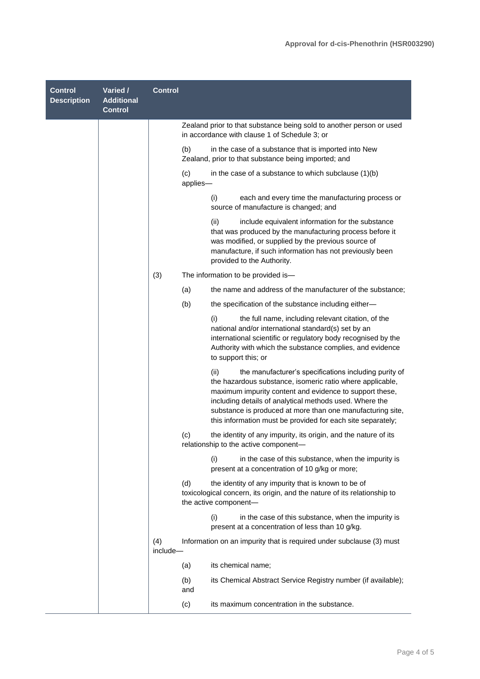| <b>Control</b><br><b>Description</b> | Varied /<br><b>Additional</b><br><b>Control</b> | <b>Control</b>  |                                                                                     |                                                                                                                                                                                                                                                                                                                                                                       |
|--------------------------------------|-------------------------------------------------|-----------------|-------------------------------------------------------------------------------------|-----------------------------------------------------------------------------------------------------------------------------------------------------------------------------------------------------------------------------------------------------------------------------------------------------------------------------------------------------------------------|
|                                      |                                                 |                 | in accordance with clause 1 of Schedule 3; or                                       | Zealand prior to that substance being sold to another person or used                                                                                                                                                                                                                                                                                                  |
|                                      |                                                 |                 | (b)<br>Zealand, prior to that substance being imported; and                         | in the case of a substance that is imported into New                                                                                                                                                                                                                                                                                                                  |
|                                      |                                                 |                 | (c)<br>applies-                                                                     | in the case of a substance to which subclause $(1)(b)$                                                                                                                                                                                                                                                                                                                |
|                                      |                                                 |                 | (i)<br>source of manufacture is changed; and                                        | each and every time the manufacturing process or                                                                                                                                                                                                                                                                                                                      |
|                                      |                                                 |                 | (ii)<br>provided to the Authority.                                                  | include equivalent information for the substance<br>that was produced by the manufacturing process before it<br>was modified, or supplied by the previous source of<br>manufacture, if such information has not previously been                                                                                                                                       |
|                                      |                                                 | (3)             | The information to be provided is-                                                  |                                                                                                                                                                                                                                                                                                                                                                       |
|                                      |                                                 |                 | (a)                                                                                 | the name and address of the manufacturer of the substance;                                                                                                                                                                                                                                                                                                            |
|                                      |                                                 |                 | (b)                                                                                 | the specification of the substance including either-                                                                                                                                                                                                                                                                                                                  |
|                                      |                                                 |                 | (i)<br>to support this; or                                                          | the full name, including relevant citation, of the<br>national and/or international standard(s) set by an<br>international scientific or regulatory body recognised by the<br>Authority with which the substance complies, and evidence                                                                                                                               |
|                                      |                                                 |                 | (ii)                                                                                | the manufacturer's specifications including purity of<br>the hazardous substance, isomeric ratio where applicable,<br>maximum impurity content and evidence to support these,<br>including details of analytical methods used. Where the<br>substance is produced at more than one manufacturing site,<br>this information must be provided for each site separately; |
|                                      |                                                 |                 | (c)<br>relationship to the active component—                                        | the identity of any impurity, its origin, and the nature of its                                                                                                                                                                                                                                                                                                       |
|                                      |                                                 |                 | (i)<br>present at a concentration of 10 g/kg or more;                               | in the case of this substance, when the impurity is                                                                                                                                                                                                                                                                                                                   |
|                                      |                                                 |                 | the identity of any impurity that is known to be of<br>(d)<br>the active component- | toxicological concern, its origin, and the nature of its relationship to                                                                                                                                                                                                                                                                                              |
|                                      |                                                 |                 | (i)<br>present at a concentration of less than 10 g/kg.                             | in the case of this substance, when the impurity is                                                                                                                                                                                                                                                                                                                   |
|                                      |                                                 | (4)<br>include- |                                                                                     | Information on an impurity that is required under subclause (3) must                                                                                                                                                                                                                                                                                                  |
|                                      |                                                 |                 | its chemical name;<br>(a)                                                           |                                                                                                                                                                                                                                                                                                                                                                       |
|                                      |                                                 |                 | (b)<br>and                                                                          | its Chemical Abstract Service Registry number (if available);                                                                                                                                                                                                                                                                                                         |
|                                      |                                                 |                 | its maximum concentration in the substance.<br>(c)                                  |                                                                                                                                                                                                                                                                                                                                                                       |